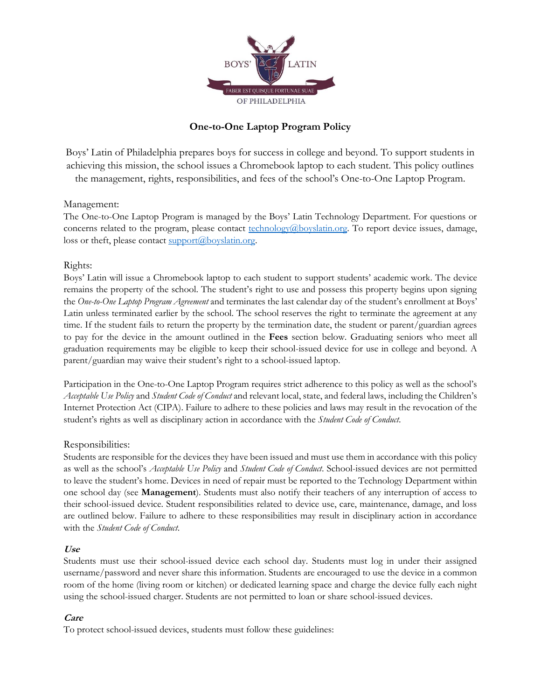

# **One-to-One Laptop Program Policy**

Boys' Latin of Philadelphia prepares boys for success in college and beyond. To support students in achieving this mission, the school issues a Chromebook laptop to each student. This policy outlines the management, rights, responsibilities, and fees of the school's One-to-One Laptop Program.

### Management:

The One-to-One Laptop Program is managed by the Boys' Latin Technology Department. For questions or concerns related to the program, please contact [technology@boyslatin.org.](mailto:technology@boyslatin.org) To report device issues, damage, loss or theft, please contact support $(\partial_t)$ boyslatin.org.

### Rights:

Boys' Latin will issue a Chromebook laptop to each student to support students' academic work. The device remains the property of the school. The student's right to use and possess this property begins upon signing the *One-to-One Laptop Program Agreement* and terminates the last calendar day of the student's enrollment at Boys' Latin unless terminated earlier by the school. The school reserves the right to terminate the agreement at any time. If the student fails to return the property by the termination date, the student or parent/guardian agrees to pay for the device in the amount outlined in the **Fees** section below. Graduating seniors who meet all graduation requirements may be eligible to keep their school-issued device for use in college and beyond. A parent/guardian may waive their student's right to a school-issued laptop.

Participation in the One-to-One Laptop Program requires strict adherence to this policy as well as the school's *Acceptable Use Policy* and *Student Code of Conduct* and relevant local, state, and federal laws, including the Children's Internet Protection Act (CIPA). Failure to adhere to these policies and laws may result in the revocation of the student's rights as well as disciplinary action in accordance with the *Student Code of Conduct*.

# Responsibilities:

Students are responsible for the devices they have been issued and must use them in accordance with this policy as well as the school's *Acceptable Use Policy* and *Student Code of Conduct*. School-issued devices are not permitted to leave the student's home. Devices in need of repair must be reported to the Technology Department within one school day (see **Management**). Students must also notify their teachers of any interruption of access to their school-issued device. Student responsibilities related to device use, care, maintenance, damage, and loss are outlined below. Failure to adhere to these responsibilities may result in disciplinary action in accordance with the *Student Code of Conduct*.

# **Use**

Students must use their school-issued device each school day. Students must log in under their assigned username/password and never share this information. Students are encouraged to use the device in a common room of the home (living room or kitchen) or dedicated learning space and charge the device fully each night using the school-issued charger. Students are not permitted to loan or share school-issued devices.

# **Care**

To protect school-issued devices, students must follow these guidelines: